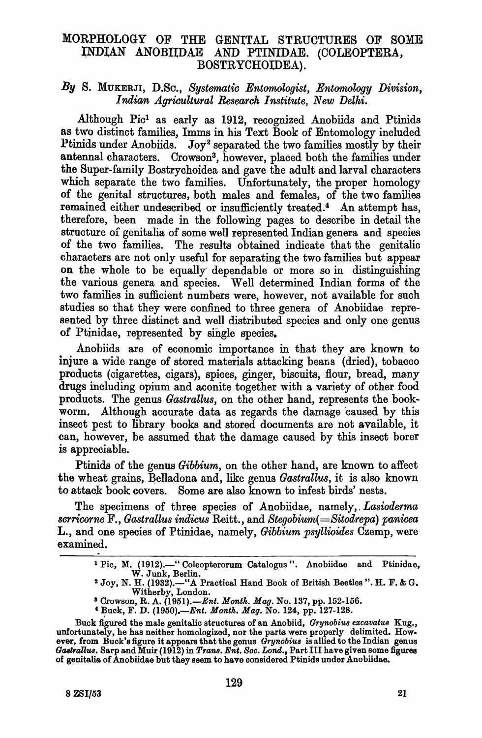# MORPHOLOGY OF THE GENITAL STRUCTURES OF SOME ~NDIAN ANOBIIDAE AND PTINIDAE. (COLEOPTERA., BOSTRYCHOIDEA).

## *By* S. MUKERJI, D.Sc., *Systematic Entomologist, Entomology Division,*  I *ndian Agricultural Research* I *nstitute, New Delhi.*

Although Pic! as early as 1912, reoognized Anobiids and Ptinids as two distinot families, Imms in his Text Book of Entomology included Ptinids under Anobiids. Joy<sup>2</sup> separated the two families mostly by their antennal characters. Crowson3, however, placed both the families under the Super-family Bostrychoidea and gave the adult and larval characters which separate the two families. Unfortunately, the proper homology of the genital struotures, both males and females, of the two families remained either undescribed or insufficiently treated.<sup>4</sup> An attempt has, therefore, been made in the following pages to describe in detail the structure of genitalia of some well represented Indian genera and species of the two families. The results obtained indicate that the genitalic characters are not only useful for separating the two families but appear on the whole to be equally dependable or more so in distinguishing the various genera and species. Well determined Indian forms of the two families in sufficient numbers were, however, not available for such studies so that they were confined to three genera of Anobiidae represented by three distinct and well distributed species and only one genus of Ptinidae, represented by single species.

Anobiids are of economic importance in that they are known to injure a wide range of stored materials attacking beans (dried), tobacco products (cigarettes, cigars), spices, ginger, biscuits, flour, bread, many drugs including opium and aconite together with a variety of other food products. The genus *Gastrallus*, on the other hand, represents the bookworm. Although accurate data as regards the damage caused by this insect pest to library books and stored documents are not available, it can, however, be assumed that the damage caused by this inseot borer is appreciable.

Ptinids of the genus *Gibbium*, on the other hand, are known to affect the wheat grains, Belladona and, like genus *Gastrallus*, it is also known to attack book covers. Some are also known to infest birds' nests.

The specimens of three species of Anobiidae, namely, *Lasioderma scrricorne* F., *Gastrallus indicus* Reitt., and *Stegobium( =Sitodrepa) panicea*  L., and one species of Ptinidae, namely, *Gibbium psyllioides* Czemp, were examined.

<sup>&</sup>lt;sup>1</sup> Pic, M. (1912).-" Coleopterorum Catalogus". Anobiidae and Ptinidae. W. Junk, Berlin.

<sup>&</sup>lt;sup>2</sup> Joy, N. H. (1932).-"A Practical Hand Book of British Beetles". H. F. & G. Witherby, London.

a Crowson, R. A. *(1951).-Ent. Month. Mag.* No. 137, pp. 152-156.

<sup>&</sup>lt;sup>4</sup> Buck, F. D. (1950).—*Ent. Month. Mag.* No. 124, pp. 127-128.

Buck figured the male genitalic structures of an Anobiid, *Grynobiu8 excavatu8* Kug., unfortunately, he has neither homologized, nor the parts were properly delimited. However, from Buck's figure it appears that the genus *Grynobiu8* is allied to the Indian genus Gastrallus. Sarp and Muir (1912) in *Trans. Ent. Soc. Lond.*, Part III have given some figures of genitalia of Anobiidae but they seem to have oonsidered Ptinids under Anobiidae.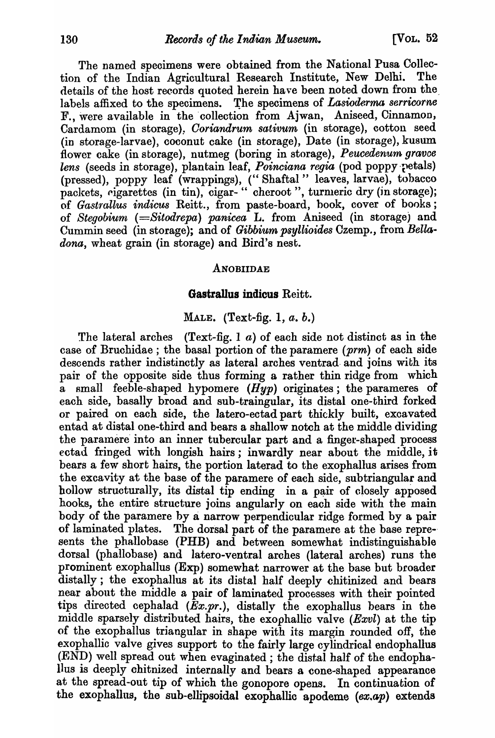The named specimens were obtained from the National Pusa Collection of the Indian Agricultural Researoh Institute, New Delhi. The details of the host records quoted herein have been noted down from the\_ labels affixed to the specimens. The specimens of *Lasioderma serricorne* F., were available in the collection from Ajwan, Aniseed, Cinnamon, Cardamom (in storage), *Coriandrum sativum* (in storage), cotton seed (in storage-larvae), coconut cake (in storage), Date (in storage), kusum flower cake (in storage), nutmeg (boring in storage), *Peucedenum gravoe*  lens (seeds in storage), plantain leaf, *Poinciana regia* (pod poppy retals) (pressed), poppy leaf (wrappings), (" Shaftal" leaves, larvae), tobacco packets, eigarettes (in tin), cigar-" cheroot", turmeric dry (in storage); of *Gastrallus indicus* Reitt., from paste-board, book, cover of books; of *Stegobiurn (=Sitodrepa) panicea* L. from Aniseed (in storage) and Cummin seed (in storage); and of *Gibbium psyllioides* Czemp., from *Bella*dona, wheat grain (in storage) and Bird's nest.

#### ANOBIIDAE

#### **Gastrallus indicus** Reitt.

## MALE. (Text-fig. 1, *a.* b.)

The lateral arches (Text-fig. 1  $a$ ) of each side not distinct as in the case of Bruchidae ; the basal portion of the paramere *(prm)* of each side descends rather indistinctly as lateral arches ventrad and joins with its pair of the opposite side thus forming a rather thin ridge from which a small feeble-shaped hypomere  $(Hyp)$  originates; the parameres of each side, basally broad and sub-traingular, its distal one-third forked or paired on each side, the latero-ectad part thickly built, excavated entad at distal one-third and bears a shallow notch at the middle dividing the paramere'into an inner tubercular part and a finger-shaped process ectad fringed with longish hairs; inwardly near about the middle, it bears a few short hairs, the portion laterad to the exophallus arises from the excavity at the base of the paramere of each side, subtriangular and hollow structurally, its distal tip ending in a pair of closely apposed hooks, the entire structure joins angularly on each side with the main body of the paramere by a narrow perpendicular ridge formed by a pair of laminated plates. The dorsal part of the paramere at the base repre-· sents the phallobase (PHB) and between somewhat indistinguishable dorsal (phallobase) and latero-ventral arches (lateral arohes) runs the prominent exophallus (Exp) somewhat narrower at the base but broader distally; the exophallus at its distal half deeply chitinized and bears near about the middle a pair of laminated processes with their pointed tips directed cephalad  $(\bar{E}x.pr.)$ , distally the exophallus bears in the middle sparsely distributed hairs, the exophallic valve  $(Exvl)$  at the tip of the exophallus triangular in shape with its margin rounded off, the exophallic valve gives support to the fairly large cylindrical endophallus (END) well spread out when evaginated ; the distal half of the endophalIus is deeply chitnized internally and bears a cone-shaped appearance at the spread-out tip of which the gonopore opens. In continuation of the exophallus, the sub-ellipsoidal exophallic apodeme *(ex.ap)* extends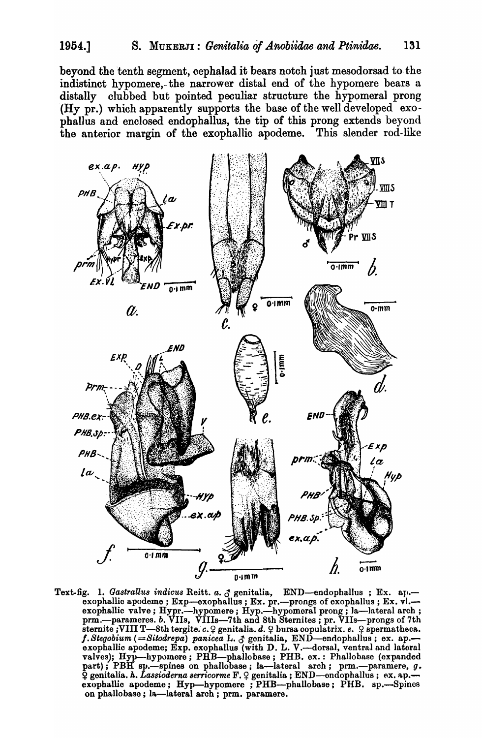beyond the tenth segment, cephalad it bears notch just mesodorsad to the indistinct hypomere, the narrower distal end of the hypomere bears a distally clubbed but pointed peculiar structure the hypomeral prong (Hy pr.) which apparently supports the base of the well developed exophallus and enclosed endophallus, the tip of this prong extends beyond the anterior margin of the exophallic apodeme. This slender rod-like



Text-fig. 1. Gastrallus indicus Reitt. a. & genitalia, END-endophallus; Ex. ap.exophallic apodeme; Exp—exophallus; Ex. pr.—prongs of exophallus; Ex. vl.—exophallic valve; Hypr.—hypomere; Hyp.—hypomeral prong; la—lateral arch; prm.—parameres. b. VIIs, VIIIs—7th and 8th Sternites; pr. VIIs—prongs of 7 f. Stegobium (=Sitodrepa) panicea L. 3 genitalia, END-endophallus; ex. ap.-<br>exophallic apodeme; Exp. exophallus (with D. L. V.-dorsal, ventral and lateral valves); Hyp-hypomere; PHB-phallobase; PHB. ex.: Phallobase (expanded<br>part); PBH sp.-spines on phallobase; la-lateral arch; prm.--paramere, g.<br> $\hat{Q}$  genitalia. h. Lassioderna serricorme F.  $\hat{Q}$  genitalia; END-ondophal exophallic apodeme; Hyp-hypomere; PHB-phallobase; PHB. sp.-Spines on phallobase; la-lateral arch; prm. paramere.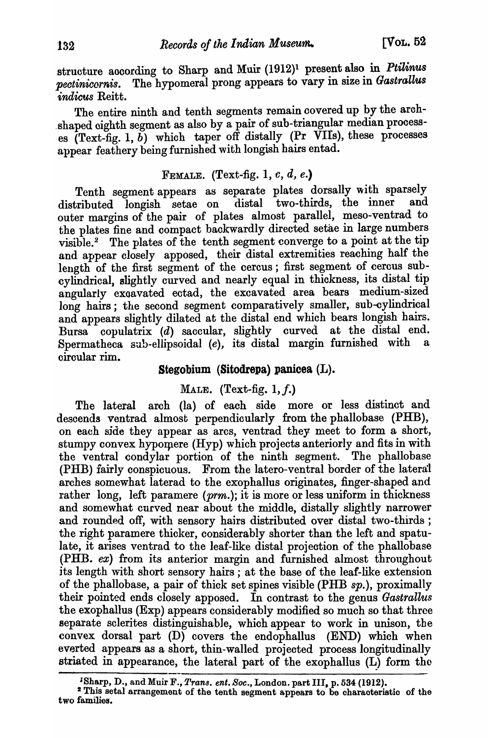structure according to Sharp and Muir (1912)<sup>1</sup> present also in *Ptilinus pectinicornis.* The hypomeral prong appears to vary in size in *Gastrallus indicus Reitt.* 

The entire ninth and tenth segments remain covered up by the arch- .shaped oighth segment as also by a pair of sub-triangular median processes  $(Text{-}fig. 1, b)$  which taper off distally (Pr VIIs), these processes appear feathery being furnished with longish hairs entad.

## FEMALE. (Text-fig. 1,  $c, d, e$ .)

Tenth segment appears as separate plates dorsally with sparsely<br>tributed longish setae on distal two-thirds, the inner and distributed longish setae on outer margins of the pair of plates almost parallel, meso-ventrad to the plates fine and compact backwardly directed setae in large numbers visible.<sup>2</sup> The plates of the tenth segment converge to a point at the tip and appear closely apposed, their distal extremities reaching half the length of the first segment of the cercus; first segment of cercus subcylindrical, slightly curved and nearly equal in thickness, its distal tip angularly exoavated ectad, the excavated area bears medium-sized long hairs; the second segment comparatively smaller, sub-cylindrical and appears slightly dilated at the distal end which bears longish hairs. Bursa copulatrix  $(d)$  saccular, slightly curved at the distal end. Spermatheca sub-ellipsoidal (e), its distal margin furnished with circular rim.

## Stegobium (Sitodrepa) panicea (L).

## MALE. (Text-fig.  $1, f.$ )

The lateral arch (la) of each side more or less distinct and descends ventrad almost perpendicularly from the phallobase (PHB), on each side they appear as arcs, ventrad they meet to form a short, stumpy convex hypomere (Hyp) which projects anteriorly and fits in with the ventral condylar portion of the ninth segment. The phallobase (PHB) fairly conspicuous. From the latero-ventral border of the lateral arches somewhat laterad to the exophallus originates, finger-shaped and rather long, left paramere *(prm.)*; it is more or less uniform in thickness and somewhat curved near about the middle, distally slightly narrower and rounded off, with sensory hairs distributed over distal two-thirds; the right paramere thicker, considerably shorter than the left and spatulate, it arises ventrad to the leaf-like distal projeotion of the phallobase (PHB. ex) from its anterior margin and furnished almost throughout its length with short sensory hairs; at the base of the leaf-like extension of the phallobase, a pair of thick set spines visible (PHB *sp.),* proximally their pointed ends closely apposed. In contrast to the genus *Gastrallus* the exophallus (Exp) appears considerably modified so much so that three separate sclerites distinguishable, whioh appear to work in unison, the oonvex dorsal part (D) covers the endophallus (END) which when everted appears as a short, thin-walled projeoted process longitudinally striated in appearance, the lateral part of the exophallus  $(L)$  form the

<sup>&</sup>lt;sup>1</sup>Sharp, D., and Muir F., *Trans. ent. Soc.*, London. part III, p. 534 (1912).

<sup>&</sup>lt;sup>2</sup> This setal arrangement of the tenth segment appears to be characteristic of the two families.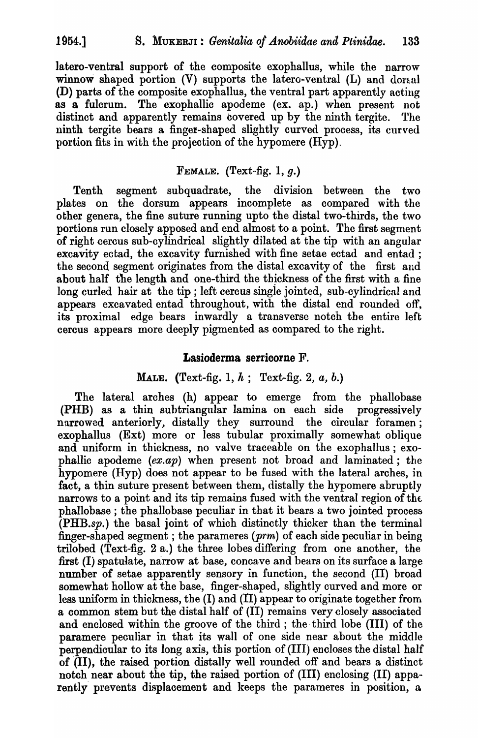latero-ventral support of the composite exophallus, while the narrow winnow shaped portion  $(V)$  supports the latero-ventral  $(L)$  and doral (D) parts of the composite exophallus, the ventral part apparently acting as a fulcrum. The exophallic apodeme (ex. ap.) when present not distinct and apparently remains covered up by the ninth tergite. The ninth tergite bears a finger-shaped slightly curved process, its curved portion fits in with the projection of the hypomere (Hyp).

## FEMALE. (Text-fig. 1,  $g$ .)

Tenth segment subquadrate, the division between the two plates on the dorsum appears incomplete as compared with the other genera, the fine suture running upto the distal two-thirds, the two portions run closely apposed and end almost to a point. The first segment of right cercus sub-cylindrical slightly dilated at the tip with an angular excavity ectad, the excavity furnished with fine setae ectad and entad; the second segment originates from the distal excavityof the first and about half the length and one-third the thickness of the first with a fine long curled hair at the tip; left cercus single jointed, sub-cylindrical and appears excavated entad throughout, with the distal end rounded off, its proximal edge bears inwardly a transverse notch the entire left cercus appears more deeply pigmented as compared to the right.

## Lasioderma serricorne F.

# MALE. (Text-fig. 1, h; Text-fig. 2, *a,* b.)

The lateral arches (h) appear to emerge from the phallobase (PHB) as a thin sub triangular lamina on each side progressively narrowed anteriorly, distally they surround the circular foramen; exophallus (Ext) more or less tubular proximally somewhat oblique and uniform in thickness, no valve traceable on the exophallus; exophallic apodeme  $(ex, ap)$  when present not broad and laminated; the hypomere (Hyp) does not appear to be fused with the lateral arches, in fact, a thin suture present between them, distally the hypomere abruptly narrows to a point and its tip remains fused with the ventral region of the phallobase ; the phallobase peculiar in that it bears a two jointed process (PHB.sp.) the basal joint of which distinctly thicker than the terminal finger-shaped segment; the parameres  $(prm)$  of each side peculiar in being trilobed (Text-fig. 2 a.) the three lobes differing from one another, the first (I) spatulate, narrow at base, concave and bears on its surface a large number of setae apparently sensory in function, the second (II) broad somewhat hollow at the base, finger-shaped, slightly curved and more or less uniform in thickness, the  $(I)$  and  $(II)$  appear to originate together from a common stem but the distal half of (II) remains very closely associated and enclosed within the groove of the third; the third lobe (III) of the paramere peouliar in that its wall of one side near about the middle perpendicular to its long axis, this portion of  $(III)$  encloses the distal half of (II), the raised portion distally well rounded off and bears a distinct notch near about the tip, the raised portion of (III) enclosing (II) apparently prevents displacement and keeps the parameres in position, a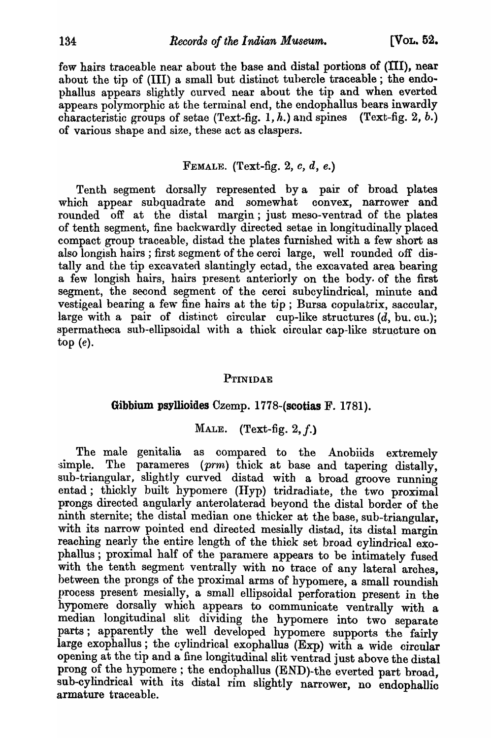few hairs traceable near about the base and distal portions of (III), near about the tip of (III) a small but distinct tubercle traceable; the endophallus appears slightly curved near about the tip and when. everted appears polymorphic at the terminal end, the endophallus bears inwardly characteristic groups of setae (Text-fig. 1, h.) and spines (Text-fig. 2, b.) of various shape and size, these act as claspers.

### FEMALE. (Text-fig. 2,  $c, d, e$ .)

Tenth segment dorsally represented by a pair of broad plates which appear subquadrate and somewhat convex, narrower and rounded of at the distal margin; just meso-ventrad of the plates of tenth segment, fine backwardly directed setae in longitudinally placed compact group traceable, distad the plates furnished with a few short as also longish hairs ; first segment of the cerci large, well rounded off distally and the tip excavated slantingly ectad, the excavated area bearing a few longish hairs, hairs present anteriorly on the body. of the first segment, the second segment of the cerci subcylindrical, minute and vestigeal bearing a few fine hairs at the tip; Bursa copulatrix, saccular, large with a pair of distinct circular cup-like structures  $(d, bu, cu.);$ spermatheca sub-ellipsoidal with a thick circular cap-like structure on top (e).

### **PTINIDAE**

## Gibbium psyllioides Czemp. 1778-(scotias F. 1781).

### MALE. (Text-fig. 2, *f.)*

The male genitalia as compared to the Anobiids extremely simple. The parameres (prm) thick at base and tapering distally, sub-triangular, slightly curved distad with a broad groove running entad; thickly built hypomere (Hyp) tridradiate, the two proximal prongs directed angularly anterolaterad beyond the distal border of the ninth sternite; the distal median one thicker at the base, sub-triangular, with its narrow pointed end directed mesially distad, its distal margin reaching nearly the entire length of the thick set broad cylindrical exophallus; proximal half of the paramere appears to be intimately fused with the tenth segment ventrally with no trace of any lateral arches, between the prongs of the proximal arms of hypomere, a small roundish process present mesially, a small ellipsoidal perforation present in the hypomere dorsally which appears to communicate ventrally with a median longitudinal slit dividing the hypomere into two separate parts; apparently the well developed hypomere supports the fairly large exophallus; the cylindrical exophallus (Exp) with a wide circular opening at the tip and a fine longitudinal slit ventrad just above the distal prong of the hypomere; the endophallus (END)-the everted part broad, sub-cylindrical with its distal rim slightly narrower, no endophallic armature traceable.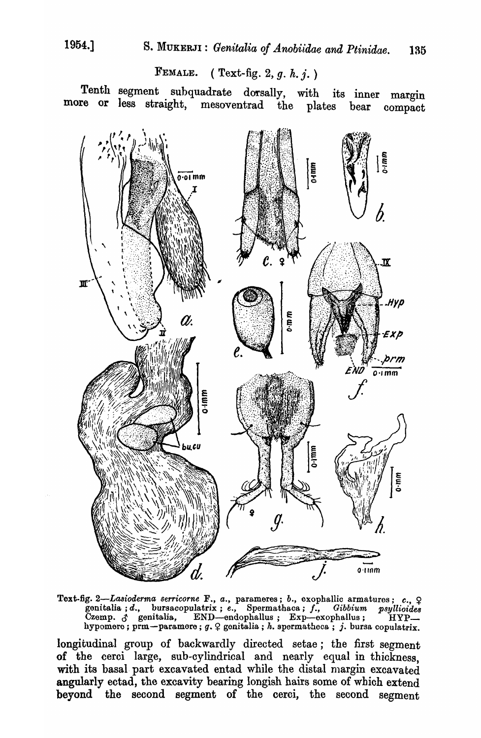FEMALE. (Text-fig. 2,  $q. h. i.$ )

Tenth segment subquadrate dorsally, with its inner margin more or less straight, mesoventrad the plates bear compact



Text-fig. 2—Lasioderma serricorne F., a., parameres; b., exophallic armatures; c.,  $\varphi$  genitalia; d., bursacopulatrix; e., Spermathaca; f., Gibbium psyllioides Czemp.  $\beta$  genitalia, END—endophallus; Exp—exophallus; HYP

longitudinal group of backwardly directed setae; the first segment of the cerci large, sub-cylindrical and nearly equal in thickness, with its basal part excavated entad while the distal margin excavated angularly ectad, the excavity bearing longish hairs some of which extend beyond the second segment of the cerci, the second segment

1954.1